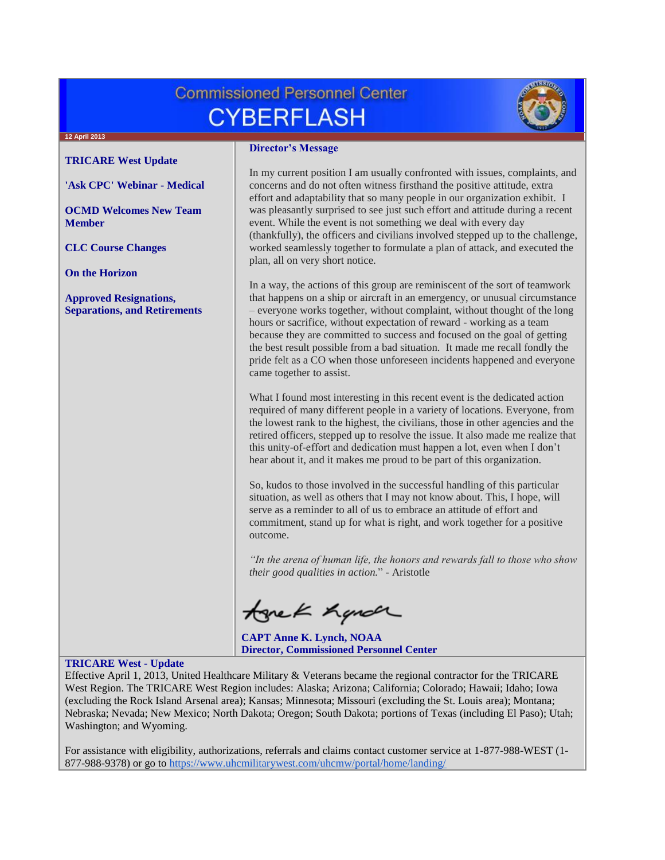# **Commissioned Personnel Center CYBERFLASH**



#### **12 April 2013**

**[TRICARE West Update](#page-0-0)**

**['Ask CPC' Webinar -](#page-1-0) Medical**

**[OCMD Welcomes New Team](#page-1-1)  [Member](#page-1-1)**

**[CLC Course Changes](#page-1-2)**

**[On the Horizon](#page-1-3)**

**[Approved Resignations,](#page-1-4)  [Separations, and Retirements](#page-1-4)**

### **Director's Message**

In my current position I am usually confronted with issues, complaints, and concerns and do not often witness firsthand the positive attitude, extra effort and adaptability that so many people in our organization exhibit. I was pleasantly surprised to see just such effort and attitude during a recent event. While the event is not something we deal with every day (thankfully), the officers and civilians involved stepped up to the challenge, worked seamlessly together to formulate a plan of attack, and executed the plan, all on very short notice.

In a way, the actions of this group are reminiscent of the sort of teamwork that happens on a ship or aircraft in an emergency, or unusual circumstance – everyone works together, without complaint, without thought of the long hours or sacrifice, without expectation of reward - working as a team because they are committed to success and focused on the goal of getting the best result possible from a bad situation. It made me recall fondly the pride felt as a CO when those unforeseen incidents happened and everyone came together to assist.

What I found most interesting in this recent event is the dedicated action required of many different people in a variety of locations. Everyone, from the lowest rank to the highest, the civilians, those in other agencies and the retired officers, stepped up to resolve the issue. It also made me realize that this unity-of-effort and dedication must happen a lot, even when I don't hear about it, and it makes me proud to be part of this organization.

So, kudos to those involved in the successful handling of this particular situation, as well as others that I may not know about. This, I hope, will serve as a reminder to all of us to embrace an attitude of effort and commitment, stand up for what is right, and work together for a positive outcome.

*"In the arena of human life, the honors and rewards fall to those who show their good qualities in action.*" - Aristotle

tonek hande

**CAPT Anne K. Lynch, NOAA Director, Commissioned Personnel Center**

# <span id="page-0-0"></span>**TRICARE West - Update**

Effective April 1, 2013, United Healthcare Military & Veterans became the regional contractor for the TRICARE West Region. The TRICARE West Region includes: Alaska; Arizona; California; Colorado; Hawaii; Idaho; Iowa (excluding the Rock Island Arsenal area); Kansas; Minnesota; Missouri (excluding the St. Louis area); Montana; Nebraska; Nevada; New Mexico; North Dakota; Oregon; South Dakota; portions of Texas (including El Paso); Utah; Washington; and Wyoming.

For assistance with eligibility, authorizations, referrals and claims contact customer service at 1-877-988-WEST (1 877-988-9378) or go to <https://www.uhcmilitarywest.com/uhcmw/portal/home/landing/>